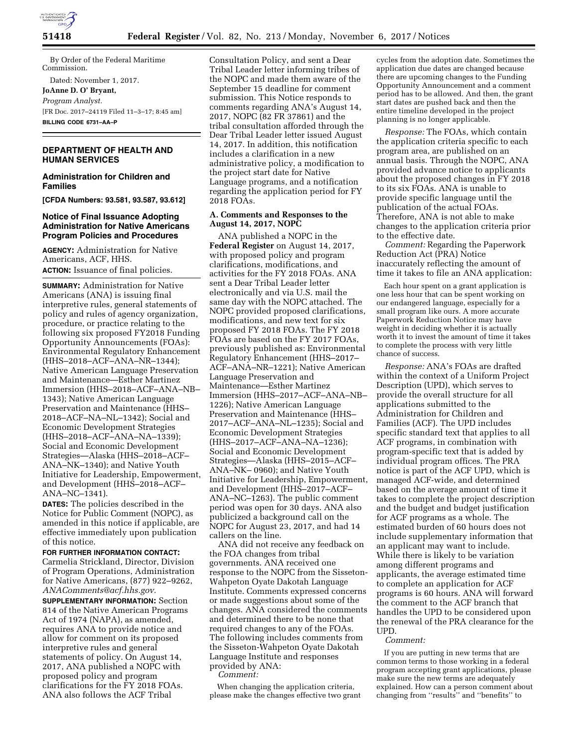

By Order of the Federal Maritime Commission. Dated: November 1, 2017. **JoAnne D. O' Bryant,**  *Program Analyst.* 

[FR Doc. 2017–24119 Filed 11–3–17; 8:45 am] **BILLING CODE 6731–AA–P** 

# **DEPARTMENT OF HEALTH AND HUMAN SERVICES**

## **Administration for Children and Families**

**[CFDA Numbers: 93.581, 93.587, 93.612]** 

## **Notice of Final Issuance Adopting Administration for Native Americans Program Policies and Procedures**

**AGENCY:** Administration for Native Americans, ACF, HHS. **ACTION:** Issuance of final policies.

**SUMMARY:** Administration for Native Americans (ANA) is issuing final interpretive rules, general statements of policy and rules of agency organization, procedure, or practice relating to the following six proposed FY2018 Funding Opportunity Announcements (FOAs): Environmental Regulatory Enhancement (HHS–2018–ACF–ANA–NR–1344); Native American Language Preservation and Maintenance—Esther Martinez Immersion (HHS–2018–ACF–ANA–NB– 1343); Native American Language Preservation and Maintenance (HHS– 2018–ACF–NA–NL–1342); Social and Economic Development Strategies (HHS–2018–ACF–ANA–NA–1339); Social and Economic Development Strategies—Alaska (HHS–2018–ACF– ANA–NK–1340); and Native Youth

Initiative for Leadership, Empowerment, and Development (HHS–2018–ACF– ANA–NC–1341). **DATES:** The policies described in the

Notice for Public Comment (NOPC), as amended in this notice if applicable, are effective immediately upon publication of this notice.

# **FOR FURTHER INFORMATION CONTACT:**

Carmelia Strickland, Director, Division of Program Operations, Administration for Native Americans, (877) 922–9262, *[ANAComments@acf.hhs.gov.](mailto:ANAComments@acf.hhs.gov)* 

**SUPPLEMENTARY INFORMATION:** Section 814 of the Native American Programs Act of 1974 (NAPA), as amended, requires ANA to provide notice and allow for comment on its proposed interpretive rules and general statements of policy. On August 14, 2017, ANA published a NOPC with proposed policy and program clarifications for the FY 2018 FOAs. ANA also follows the ACF Tribal

Consultation Policy, and sent a Dear Tribal Leader letter informing tribes of the NOPC and made them aware of the September 15 deadline for comment submission. This Notice responds to comments regarding ANA's August 14, 2017, NOPC (82 FR 37861) and the tribal consultation afforded through the Dear Tribal Leader letter issued August 14, 2017. In addition, this notification includes a clarification in a new administrative policy, a modification to the project start date for Native Language programs, and a notification regarding the application period for FY 2018 FOAs.

## **A. Comments and Responses to the August 14, 2017, NOPC**

ANA published a NOPC in the **Federal Register** on August 14, 2017, with proposed policy and program clarifications, modifications, and activities for the FY 2018 FOAs. ANA sent a Dear Tribal Leader letter electronically and via U.S. mail the same day with the NOPC attached. The NOPC provided proposed clarifications, modifications, and new text for six proposed FY 2018 FOAs. The FY 2018 FOAs are based on the FY 2017 FOAs, previously published as: Environmental Regulatory Enhancement (HHS–2017– ACF–ANA–NR–1221); Native American Language Preservation and Maintenance—Esther Martinez Immersion (HHS–2017–ACF–ANA–NB– 1226); Native American Language Preservation and Maintenance (HHS– 2017–ACF–ANA–NL–1235); Social and Economic Development Strategies (HHS–2017–ACF–ANA–NA–1236); Social and Economic Development Strategies—Alaska (HHS–2015–ACF– ANA–NK– 0960); and Native Youth Initiative for Leadership, Empowerment, and Development (HHS–2017–ACF– ANA–NC–1263). The public comment period was open for 30 days. ANA also publicized a background call on the NOPC for August 23, 2017, and had 14 callers on the line.

ANA did not receive any feedback on the FOA changes from tribal governments. ANA received one response to the NOPC from the Sisseton-Wahpeton Oyate Dakotah Language Institute. Comments expressed concerns or made suggestions about some of the changes. ANA considered the comments and determined there to be none that required changes to any of the FOAs. The following includes comments from the Sisseton-Wahpeton Oyate Dakotah Language Institute and responses provided by ANA:

*Comment:* 

When changing the application criteria, please make the changes effective two grant cycles from the adoption date. Sometimes the application due dates are changed because there are upcoming changes to the Funding Opportunity Announcement and a comment period has to be allowed. And then, the grant start dates are pushed back and then the entire timeline developed in the project planning is no longer applicable.

*Response:* The FOAs, which contain the application criteria specific to each program area, are published on an annual basis. Through the NOPC, ANA provided advance notice to applicants about the proposed changes in FY 2018 to its six FOAs. ANA is unable to provide specific language until the publication of the actual FOAs. Therefore, ANA is not able to make changes to the application criteria prior to the effective date.

*Comment:* Regarding the Paperwork Reduction Act (PRA) Notice inaccurately reflecting the amount of time it takes to file an ANA application:

Each hour spent on a grant application is one less hour that can be spent working on our endangered language, especially for a small program like ours. A more accurate Paperwork Reduction Notice may have weight in deciding whether it is actually worth it to invest the amount of time it takes to complete the process with very little chance of success.

*Response:* ANA's FOAs are drafted within the context of a Uniform Project Description (UPD), which serves to provide the overall structure for all applications submitted to the Administration for Children and Families (ACF). The UPD includes specific standard text that applies to all ACF programs, in combination with program-specific text that is added by individual program offices. The PRA notice is part of the ACF UPD, which is managed ACF-wide, and determined based on the average amount of time it takes to complete the project description and the budget and budget justification for ACF programs as a whole. The estimated burden of 60 hours does not include supplementary information that an applicant may want to include. While there is likely to be variation among different programs and applicants, the average estimated time to complete an application for ACF programs is 60 hours. ANA will forward the comment to the ACF branch that handles the UPD to be considered upon the renewal of the PRA clearance for the UPD.

#### *Comment:*

If you are putting in new terms that are common terms to those working in a federal program accepting grant applications, please make sure the new terms are adequately explained. How can a person comment about changing from ''results'' and ''benefits'' to